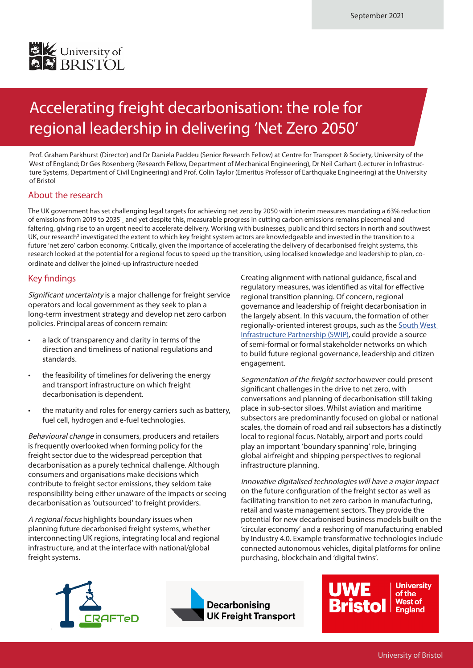

## Accelerating freight decarbonisation: the role for regional leadership in delivering 'Net Zero 2050'

Prof. Graham Parkhurst (Director) and Dr Daniela Paddeu (Senior Research Fellow) at Centre for Transport & Society, University of the West of England; Dr Ges Rosenberg (Research Fellow, Department of Mechanical Engineering), Dr Neil Carhart (Lecturer in Infrastructure Systems, Department of Civil Engineering) and Prof. Colin Taylor (Emeritus Professor of Earthquake Engineering) at the University of Bristol

### About the research

The UK government has set challenging legal targets for achieving net zero by 2050 with interim measures mandating a 63% reduction of emissions from 2019 to 2035<sup>1</sup>, and yet despite this, measurable progress in cutting carbon emissions remains piecemeal and faltering, giving rise to an urgent need to accelerate delivery. Working with businesses, public and third sectors in north and southwest UK, our research<sup>2</sup> investigated the extent to which key freight system actors are knowledgeable and invested in the transition to a future 'net zero' carbon economy. Critically, given the importance of accelerating the delivery of decarbonised freight systems, this research looked at the potential for a regional focus to speed up the transition, using localised knowledge and leadership to plan, coordinate and deliver the joined-up infrastructure needed

### Key findings

Significant uncertainty is a major challenge for freight service operators and local government as they seek to plan a long-term investment strategy and develop net zero carbon policies. Principal areas of concern remain:

- a lack of transparency and clarity in terms of the direction and timeliness of national regulations and standards.
- the feasibility of timelines for delivering the energy and transport infrastructure on which freight decarbonisation is dependent.
- the maturity and roles for energy carriers such as battery, fuel cell, hydrogen and e-fuel technologies.

Behavioural change in consumers, producers and retailers is frequently overlooked when forming policy for the freight sector due to the widespread perception that decarbonisation as a purely technical challenge. Although consumers and organisations make decisions which contribute to freight sector emissions, they seldom take responsibility being either unaware of the impacts or seeing decarbonisation as 'outsourced' to freight providers.

A regional focus highlights boundary issues when planning future decarbonised freight systems, whether interconnecting UK regions, integrating local and regional infrastructure, and at the interface with national/global freight systems.

Creating alignment with national guidance, fiscal and regulatory measures, was identified as vital for effective regional transition planning. Of concern, regional governance and leadership of freight decarbonisation in the largely absent. In this vacuum, the formation of other regionally-oriented interest groups, such as the South West [Infrastructure Partnership \(SWIP\),](https://southwestinfrastructurepartnership.co.uk/) could provide a source of semi-formal or formal stakeholder networks on which to build future regional governance, leadership and citizen engagement.

Segmentation of the freight sector however could present significant challenges in the drive to net zero, with conversations and planning of decarbonisation still taking place in sub-sector siloes. Whilst aviation and maritime subsectors are predominantly focused on global or national scales, the domain of road and rail subsectors has a distinctly local to regional focus. Notably, airport and ports could play an important 'boundary spanning' role, bringing global airfreight and shipping perspectives to regional infrastructure planning.

Innovative digitalised technologies will have a major impact on the future configuration of the freight sector as well as facilitating transition to net zero carbon in manufacturing, retail and waste management sectors. They provide the potential for new decarbonised business models built on the 'circular economy' and a reshoring of manufacturing enabled by Industry 4.0. Example transformative technologies include connected autonomous vehicles, digital platforms for online purchasing, blockchain and 'digital twins'.